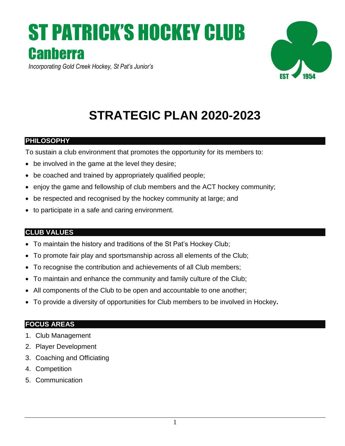# ST PATRICK'S HOCKEY CLUB **Canberra**



*Incorporating Gold Creek Hockey, St Pat's Junior's*

# **STRATEGIC PLAN 2020-2023**

# **PHILOSOPHY**

To sustain a club environment that promotes the opportunity for its members to:

- be involved in the game at the level they desire;
- be coached and trained by appropriately qualified people;
- enjoy the game and fellowship of club members and the ACT hockey community;
- be respected and recognised by the hockey community at large; and
- to participate in a safe and caring environment.

# **CLUB VALUES**

- To maintain the history and traditions of the St Pat's Hockey Club;
- To promote fair play and sportsmanship across all elements of the Club;
- To recognise the contribution and achievements of all Club members;
- To maintain and enhance the community and family culture of the Club;
- All components of the Club to be open and accountable to one another;
- To provide a diversity of opportunities for Club members to be involved in Hockey**.**

# **FOCUS AREAS**

- 1. Club Management
- 2. Player Development
- 3. Coaching and Officiating
- 4. Competition
- 5. Communication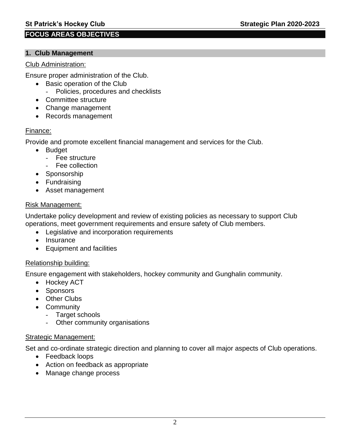# **FOCUS AREAS OBJECTIVES**

#### **1. Club Management**

#### Club Administration:

Ensure proper administration of the Club.

- Basic operation of the Club
	- Policies, procedures and checklists
- Committee structure
- Change management
- Records management

#### Finance:

Provide and promote excellent financial management and services for the Club.

- Budget
	- Fee structure
	- Fee collection
- Sponsorship
- Fundraising
- Asset management

#### Risk Management:

Undertake policy development and review of existing policies as necessary to support Club operations, meet government requirements and ensure safety of Club members.

- Legislative and incorporation requirements
- Insurance
- Equipment and facilities

#### Relationship building:

Ensure engagement with stakeholders, hockey community and Gunghalin community.

- Hockey ACT
- Sponsors
- Other Clubs
- Community
	- Target schools
	- Other community organisations

#### Strategic Management:

Set and co-ordinate strategic direction and planning to cover all major aspects of Club operations.

- Feedback loops
- Action on feedback as appropriate
- Manage change process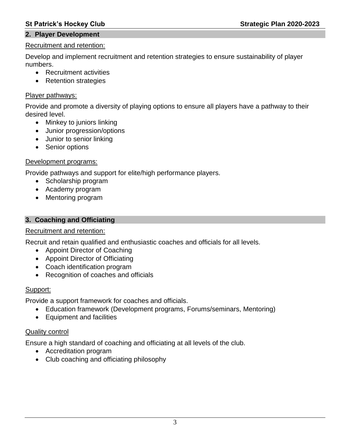#### **St Patrick's Hockey Club Strategic Plan 2020-2023**

#### **2. Player Development**

#### Recruitment and retention:

Develop and implement recruitment and retention strategies to ensure sustainability of player numbers.

- Recruitment activities
- Retention strategies

#### Player pathways:

Provide and promote a diversity of playing options to ensure all players have a pathway to their desired level.

- Minkey to juniors linking
- Junior progression/options
- Junior to senior linking
- Senior options

#### Development programs:

Provide pathways and support for elite/high performance players.

- Scholarship program
- Academy program
- Mentoring program

#### **3. Coaching and Officiating**

#### Recruitment and retention:

Recruit and retain qualified and enthusiastic coaches and officials for all levels.

- Appoint Director of Coaching
- Appoint Director of Officiating
- Coach identification program
- Recognition of coaches and officials

#### Support:

Provide a support framework for coaches and officials.

- Education framework (Development programs, Forums/seminars, Mentoring)
- Equipment and facilities

#### Quality control

Ensure a high standard of coaching and officiating at all levels of the club.

- Accreditation program
- Club coaching and officiating philosophy